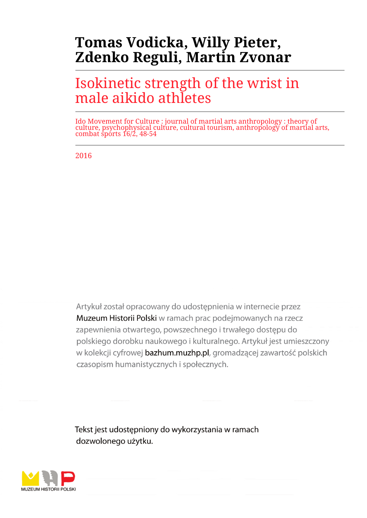# **Tomas Vodicka, Willy Pieter, Zdenko Reguli, Martin Zvonar**

# Isokinetic strength of the wrist in male aikido athletes

Ido Movement for Culture : journal of martial arts anthropology : theory of culture, psychophysical culture, cultural tourism, anthropology of martial arts, combat sports 16/2, 48-54

2016

Artykuł został opracowany do udostepnienia w internecie przez Muzeum Historii Polski w ramach prac podejmowanych na rzecz zapewnienia otwartego, powszechnego i trwałego dostępu do polskiego dorobku naukowego i kulturalnego. Artykuł jest umieszczony w kolekcji cyfrowej bazhum.muzhp.pl, gromadzącej zawartość polskich czasopism humanistycznych i społecznych.

Tekst jest udostępniony do wykorzystania w ramach dozwolonego użytku.

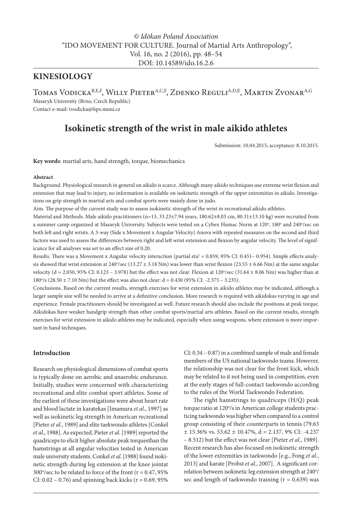### *© Idōkan Poland Association* "IDO MOVEMENT FOR CULTURE. Journal of Martial Arts Anthropology", Vol. 16, no. 2 (2016), pp. 48–54 DOI: 10.14589/ido.16.2.6

### **KINESIOLOGY**

TOMAS VODICKA<sup>B,E,F</sup>, WILLY PIETER<sup>A,C,F</sup>, ZDENKO REGULI<sup>A,D,E</sup>, MARTIN ZVONAR<sup>A,G</sup> Masaryk University (Brno, Czech Republic)

Contact e-mail: tvodicka@fsps.muni.cz

## **Isokinetic strength of the wrist in male aikido athletes**

Submission: 10.04.2015; acceptance: 8.10.2015.

**Key words**: martial arts, hand strength, torque, biomechanics

#### **Abstract**

Background. Physiological research in general on aikido is scarce. Although many aikido techniques use extreme wrist flexion and extension that may lead to injury, no information is available on isokinetic strength of the upper extremities in aikido. Investigations on grip strength in martial arts and combat sports were mainly done in judo.

Aim. The purpose of the current study was to assess isokinetic strength of the wrist in recreational aikido athletes.

Material and Methods. Male aikido practitioners (n=13, 33.23±7.94 years, 180.62±8.03 cm, 80.31±13.10 kg) were recruited from a summer camp organized at Masaryk University. Subjects were tested on a Cybex Humac Norm at 120°, 180° and 240°/sec on both left and right wrists. A 3-way (Side x Movement x Angular Velocity) Anova with repeated measures on the second and third factors was used to assess the differences between right and left wrist extension and flexion by angular velocity. The level of significance for all analyses was set to an effect size of 0.20.

Results. There was a Movement x Angular velocity interaction (partial eta<sup>2</sup> = 0.859, 95% CI: 0.451– 0.954). Simple effects analysis showed that wrist extension at 240°/sec (13.27  $\pm$  3.18 Nm) was lower than wrist flexion (23.55  $\pm$  6.66 Nm) at the same angular velocity (d = 2.050, 95% CI: 0.123 – 3.978) but the effect was not clear. Flexion at 120°/sec (31.64 ± 8.06 Nm) was higher than at 180°/s (28.50  $\pm$  7.10 Nm) but the effect was also not clear: d = 0.430 (95% CI: -2.375 – 3.235).

Conclusions. Based on the current results, strength exercises for wrist extension in aikido athletes may be indicated, although a larger sample size will be needed to arrive at a definitive conclusion. More research is required with aikidokas varying in age and experience. Female practitioners should be investigated as well. Future research should also include the positions at peak torque. Aikidokas have weaker handgrip strength than other combat sports/martial arts athletes. Based on the current results, strength exercises for wrist extension in aikido athletes may be indicated, especially when using weapons, where extension is more important in hand techniques.

#### **Introduction**

Research on physiological dimensions of combat sports is typically done on aerobic and anaerobic endurance. Initially, studies were concerned with characterizing recreational and elite combat sport athletes. Some of the earliest of these investigations were about heart rate and blood lactate in karatekas [Imamura *et al*., 1997] as well as isokinetic leg strength in American recreational [Pieter *et al*., 1989] and elite taekwondo athletes [Conkel *et al*., 1988]. As expected, Pieter *et al*. [1989] reported the quadriceps to elicit higher absolute peak torquesthan the hamstrings at all angular velocities tested in American male university students. Conkel *et al*. [1988] found isokinetic strength during leg extension at the knee jointat 300 $\degree$ /sec to be related to force of the front ( $r = 0.47,95\%$ CI:  $0.02 - 0.76$ ) and spinning back kicks ( $r = 0.69$ , 95%

CI: 0.34 – 0.87) in a combined sample of male and female members of the US national taekwondo teams. However, the relationship was not clear for the front kick, which may be related to it not being used in competition, even at the early stages of full-contact taekwondo according to the rules of the World Taekwondo Federation.

The right hamstrings to quadriceps (H/Q) peak torque ratio at 120°/s in American college students practicing taekwondo was higher when compared to a control group consisting of their counterparts in tennis (79.63  $\pm$  15.36% vs. 53.62  $\pm$  10.47%, d = 2.137, 9% CI: -4.237 – 8.512) but the effect was not clear [Pieter *et al*., 1989]. Recent research has also focused on isokinetic strength of the lower extremities in taekwondo [e.g., Fong *et al*., 2013] and karate [Probst *et al*., 2007]. A significant correlation between isokinetic leg extension strength at 240°/ sec and length of taekwondo training  $(r = 0.639)$  was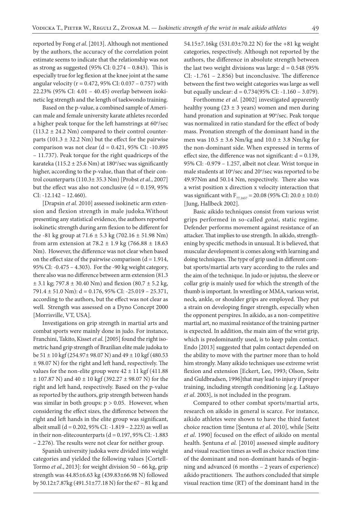reported by Fong *et al*. [2013]. Although not mentioned by the authors, the accuracy of the correlation point estimate seems to indicate that the relationship was not as strong as suggested (95% CI: 0.274 – 0.843). This is especially true for leg flexion at the knee joint at the same angular velocity (r = 0.472, 95% CI: 0.037 – 0.757) with 22.23% (95% CI: 4.01 – 40.45) overlap between isokinetic leg strength and the length of taekwondo training.

Based on the p-value, a combined sample of American male and female university karate athletes recorded a higher peak torque for the left hamstrings at 60°/sec  $(113.2 \pm 24.2 \text{ Nm})$  compared to their control counterparts (101.3  $\pm$  32.2 Nm) but the effect for the pairwise comparison was not clear  $(d = 0.421, 95\% \text{ CI: } -10.895$ – 11.737). Peak torque for the right quadriceps of the karateka (115.2 ± 25.6 Nm) at 180°/sec was significantly higher, according to the p-value, than that of their control counterparts (110.3± 35.3 Nm) [Probst *et al*., 2007] but the effect was also not conclusive  $(d = 0.159, 95\%)$ CI: -12.142 – 12.460).

[Drapsin *et al.* 2010] assessed isokinetic arm extension and flexion strength in male judoka.Without presenting any statistical evidence, the authors reported isokinetic strength during arm flexion to be different for the -81 kg group at  $71.6 \pm 5.3$  kg (702.16  $\pm$  51.98 Nm) from arm extension at  $78.2 \pm 1.9$  kg (766.88  $\pm$  18.63 Nm). However, the difference was not clear when based on the effect size of the pairwise comparison  $(d = 1.914,$ 95% CI: -0.475 – 4.303). For the -90 kg weight category, there also was no difference between arm extension (81.3  $\pm$  3.1 kg; 797.8  $\pm$  30.40 Nm) and flexion (80.7  $\pm$  5.2 kg, 791.4 ± 51.0 Nm): d = 0.176, 95% CI: -25.019 – 25.371, according to the authors, but the effect was not clear as well. Strength was assessed on a Dyno Concept 2000 [Morrisville, VT, USA].

Investigations on grip strength in martial arts and combat sports were mainly done in judo. For instance, Franchini, Takito, Kisset *et al*. [2005] found the right isometric hand grip strength of Brazilian elite male judoka to be 51  $\pm$  10 kgf (254.97 $\pm$  98.07 N) and 49  $\pm$  10 kgf (480.53 ± 98.07 N) for the right and left hand, respectively. The values for the non-elite group were  $42 \pm 11$  kgf (411.88)  $\pm$  107.87 N) and 40  $\pm$  10 kgf (392.27  $\pm$  98.07 N) for the right and left hand, respectively. Based on the p-value as reported by the authors, grip strength between hands was similar in both groups:  $p > 0.05$ . However, when considering the effect sizes, the difference between the right and left hands in the elite group was significant, albeit small (d = 0.202, 95% CI: -1.819 – 2.223) as well as in their non-elitecounterparts ( $d = 0.197, 95\%$  CI: -1.883 – 2.276). The results were not clear for neither group.

Spanish university judoka were divided into weight categories and yielded the following values [Cortell-Tormo *et al*., 2013]: for weight division 50 – 66 kg, grip strength was 44.85±6.63 kg (439.83±66.98 N) followed by 50.12±7.87kg (491.51±77.18 N) for the 67 – 81 kg and

54.15±7.16kg (531.03±70.22 N) for the +81 kg weight categories, respectively. Although not reported by the authors, the difference in absolute strength between the last two weight divisions was large:  $d = 0.548$  (95%) CI: -1.761 – 2.856) but inconclusive. The difference between the first two weight categories was large as well but equally unclear: d = 0.734(95% CI: -1.160 – 3.079).

Forthomme *et al*. [2002] investigated apparently healthy young ( $23 \pm 3$  years) women and men during hand pronation and supination at 90°/sec. Peak torque was normalized in ratio standard for the effect of body mass. Pronation strength of the dominant hand in the men was  $10.5 \pm 3.6$  Nm/kg and  $10.0 \pm 3.8$  Nm/kg for the non-dominant side. When expressed in terms of effect size, the difference was not significant:  $d = 0.139$ , 95% CI: -0.979 – 1.257, albeit not clear. Wrist torque in male students at 10°/sec and 20°/sec was reported to be 49.97Nm and 50.14 Nm, respectively. There also was a wrist position x direction x velocity interaction that was significant with  $F_{77,1657} = 20.08$  (95% CI: 20.0 ± 10.0) [Jung, Hallbeck 2002].

Basic aikido techniques consist from various wrist grips performed in so-called *gotai*, static regime. Defender performs movement against resistance of an attacker. That implies to use strength. In aikido, strengthening by specific methods in unusual. It is believed, that muscular development is comes along with learning and doing techniques. The type of grip used in different combat sports/martial arts vary according to the rules and the aim of the technique. In judo or jujutsu, the sleeve or collar grip is mainly used for which the strength of the thumb is important. In wrestling or MMA, various wrist, neck, ankle, or shoulder grips are employed. They put a strain on developing finger strength, especially when the opponent perspires. In aikido, as a non-competitive martial art, no maximal resistance of the training partner is expected. In addition, the main aim of the wrist grip, which is predominantly used, is to keep palm contact. Endo [2013] suggested that palm contact depended on the ability to move with the partner more than to hold him strongly. Many aikido techniques use extreme wrist flexion and extension [Eckert, Lee, 1993; Olson, Seitz and Guldbradsen, 1996]that may lead to injury if proper training, including strength conditioning [e.g. LaStayo *et al*. 2003], is not included in the program.

Compared to other combat sports/martial arts, research on aikido in general is scarce. For instance, aikido athletes were shown to have the third fastest choice reaction time [Şentuna *et al*. 2010], while [Seitz *et al*. 1990] focused on the effect of aikido on mental health. Şentuna *et al.* [2010] assessed simple auditory and visual reaction times as well as choice reaction time of the dominant and non-dominant hands of beginning and advanced (6 months – 2 years of experience) aikido practitioners. The authors concluded that simple visual reaction time (RT) of the dominant hand in the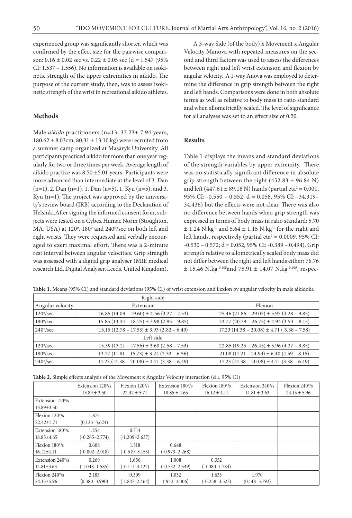experienced group was significantly shorter, which was confirmed by the effect size for the pairwise comparison:  $0.16 \pm 0.02$  sec vs.  $0.22 \pm 0.05$  sec (d = 1.547 (95%) CI: 1.537 – 1.556). No information is available on isokinetic strength of the upper extremities in aikido. The purpose of the current study, then, was to assess isokinetic strength of the wrist in recreational aikido athletes.

#### **Methods**

Male *aikido* practitioners (n=13, 33.23± 7.94 years, 180.62 ± 8.03cm, 80.31 ± 13.10 kg) were recruited from a summer camp organized at Masaryk University. All participants practiced aikido for more than one year regularly for two or three times per week. Average length of aikido practice was 8,50 ±5.01 years. Participants were more advanced than intermediate at the level of 3. Dan  $(n=1)$ , 2. Dan  $(n=1)$ , 1. Dan  $(n=5)$ , 1. Kyu  $(n=5)$ , and 3. Kyu (n=1). The project was approved by the university's review board (IRB) according to the Declaration of Helsinki.After signing the informed consent form, subjects were tested on a Cybex Humac Norm (Stoughton, MA, USA) at 120°, 180° and 240°/sec on both left and right wrists. They were requested and verbally encouraged to exert maximal effort. There was a 2-minute rest interval between angular velocities. Grip strength was assessed with a digital grip analyser (MIE medical research Ltd. Digital Analyser, Leeds, United Kingdom).

A 3-way Side (of the body) x Movement x Angular Velocity Manova with repeated measures on the second and third factors was used to assess the differences between right and left wrist extension and flexion by angular velocity. A 1-way Anova was employed to determine the difference in grip strength between the right and left hands. Comparisons were done in both absolute terms as well as relative to body mass in ratio standard and when allometrically scaled. The level of significance for all analyses was set to an effect size of 0.20.

#### **Results**

Table 1 displays the means and standard deviations of the strength variables by upper extremity. There was no statistically significant difference in absolute grip strength between the right  $(452.83 \pm 96.84 \text{ N})$ and left (447.61  $\pm$  89.18 N) hands (partial eta<sup>2</sup> = 0.001, 95% CI: -0.550 – 0.552; d = 0.058, 95% CI: -34.319– 34.436) but the effects were not clear. There was also no difference between hands when grip strength was expressed in terms of body mass in ratio standard: 5.70  $\pm$  1.24 N.kg<sup>-1</sup> and 5.64  $\pm$  1.15 N.kg<sup>-1</sup> for the right and left hands, respectively (partial eta $^2$  = 0.0009, 95% CI:  $-0.530 - 0.572$ ;  $d = 0.052$ , 95% CI:  $-0.389 - 0.494$ ). Grip strength relative to allometrically scaled body mass did not differ between the right and left hands either: 76.76  $\pm$  15.46 N.kg<sup>-0.405</sup> and 75.91  $\pm$  14.07 N.kg<sup>-0.405</sup>, respec-

|                        | Right side                                   |                                                |                                              |
|------------------------|----------------------------------------------|------------------------------------------------|----------------------------------------------|
| Angular velocity       | Extension                                    | Flexion                                        |                                              |
| $120^\circ$ /sec       | $16.85$ (14.09 – 19.60) ± 4.56 (3.27 – 7.53) | $25.46$ (21.86 – 29.07) ± 5.97 (4.28 – 9.85)   |                                              |
| $180^\circ/\text{sec}$ | $15.85(13.44 - 18.25) \pm 3.98(2.85 - 9.85)$ | $23.77$ (20.79 – 26.75) ± 4.94 (3.54 – 8.15)   |                                              |
| $240^{\circ}/sec$      | $15.15(12.78 - 17.53) \pm 3.93(2.82 - 6.49)$ | $17.23 (14.38 - 20.08) \pm 4.71 (3.38 - 7.58)$ |                                              |
|                        | Left side                                    |                                                |                                              |
| $120^\circ$ /sec       | $15.39(13.21 - 17.56) \pm 3.60(2.58 - 7.53)$ |                                                | $22.85(19.25 - 26.45) \pm 5.96(4.27 - 9.85)$ |
| $180^\circ/\text{sec}$ | $13.77$ (11.81 - 15.73) ± 3.24 (2.33 - 6.56) |                                                | $21.08(17.21 - 24.94) \pm 6.40(4.59 - 8.15)$ |
| $240^{\circ}/sec$      | $17.23(14.38 - 20.08) \pm 4.71(3.38 - 6.49)$ |                                                | $17.23(14.38 - 20.08) \pm 4.71(3.38 - 6.49)$ |

**Table 1.** Means (95% CI) and standard deviations (95% CI) of wrist extension and flexion by angular velocity in male aikidoka

| <b>Table 2.</b> Simple effects analysis of the Movement x Angular Velocity interaction ( $d \pm 95\%$ CI) |  |  |  |  |
|-----------------------------------------------------------------------------------------------------------|--|--|--|--|
|-----------------------------------------------------------------------------------------------------------|--|--|--|--|

|                          | Extension 120%     | Flexion $120^\circ$ /s | Extension 180%     | Flexion $180^\circ$ /s | Extension 240%    | Flexion $240^\circ$ /s |
|--------------------------|--------------------|------------------------|--------------------|------------------------|-------------------|------------------------|
|                          | $13.89 \pm 3.50$   | $22.42 \pm 5.71$       | $18.85 \pm 4.65$   | $16.12 \pm 4.11$       | $14.81 \pm 3.63$  | $24.15 \pm 5.96$       |
| Extension $120^\circ$ /s |                    |                        |                    |                        |                   |                        |
| $13.89 \pm 3.50$         |                    |                        |                    |                        |                   |                        |
| Flexion $120^\circ$ /s   | 1.875              |                        |                    |                        |                   |                        |
| $22.42 \pm 5.71$         | $(0.126 - 3.624)$  |                        |                    |                        |                   |                        |
| Extension 180%           | 1.254              | 0.714                  |                    |                        |                   |                        |
| 18.85±4.65               | $(-0.265 - 2.774)$ | $(-1.209 - 2.637)$     |                    |                        |                   |                        |
| Flexion $180^\circ/s$    | 0.608              | 1.318                  | 0.648              |                        |                   |                        |
| $16.12{\pm}4.11$         | $(-0.802 - 2.018)$ | $(-0.519 - 3.155)$     | $(-0.973 - 2.268)$ |                        |                   |                        |
| Extension 240%           | 0.269              | 1.656                  | 1.008              | 0.352                  |                   |                        |
| $14.81 \pm 3.63$         | $(-1.048 - 1.585)$ | $(-0.111 - 3.422)$     | $(-0.532 - 2.549)$ | $(-1.080 - 1.784)$     |                   |                        |
| Flexion $240^\circ$ /s   | 2.185              | 0.309                  | 1.032              | 1.633                  | 1.970             |                        |
| 24.15±5.96               | $(0.380 - 3.990)$  | $(-1.847 - 2.464)$     | $(-942 - 3.006)$   | $(-0.258 - 3.523)$     | $(0.148 - 3.792)$ |                        |
|                          |                    |                        |                    |                        |                   |                        |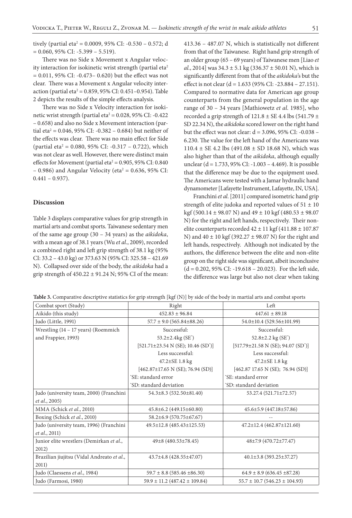tively (partial eta2 = 0.0009, 95% CI: -0.530 – 0.572; d  $= 0.060, 95\%$  CI:  $-5.399 - 5.519$ ).

There was no Side x Movement x Angular velocity interaction for isokinetic wrist strength (partial eta<sup>2</sup> = 0.011, 95% CI: -0.473– 0.620) but the effect was not clear. There was a Movement x Angular velocity interaction (partial eta $^2$  = 0.859, 95% CI: 0.451–0.954). Table 2 depicts the results of the simple effects analysis.

There was no Side x Velocity interaction for isokinetic wrist strength (partial eta $^2$  = 0.028, 95% CI: -0.422 – 0.658) and also no Side x Movement interaction (partial eta<sup>2</sup> = 0.046, 95% CI: -0.382 – 0.684) but neither of the effects was clear. There was no main effect for Side (partial eta<sup>2</sup> = 0.080, 95% CI: -0.317 – 0.722), which was not clear as well. However, there were distinct main effects for Movement (partial eta $^2$  = 0.905, 95% CI: 0.840  $-$  0.986) and Angular Velocity (eta<sup>2</sup> = 0.636, 95% CI:  $0.441 - 0.937$ ).

#### **Discussion**

Table 3 displays comparative values for grip strength in martial arts and combat sports. Taiwanese sedentary men of the same age group (30 – 34 years) as the *aikidoka*, with a mean age of 38.1 years (Wu *et al*., 2009), recorded a combined right and left grip strength of 38.1 kg (95% CI: 33.2 – 43.0 kg) or 373.63 N (95% CI: 325.58 – 421.69 N). Collapsed over side of the body, the *aikidoka* had a grip strength of  $450.22 \pm 91.24$  N; 95% CI of the mean: 413.36 – 487.07 N, which is statistically not different from that of the Taiwanese. Right hand grip strength of an older group (65 – 69 years) of Taiwanese men [Liao *et al*., 2014] was 34.3 ± 5.1 kg (336.37 ± 50.01 N), which is significantly different from that of the *aikidoka*'s but the effect is not clear (d = 1.633 (95% CI: -23.884 – 27.151). Compared to normative data for American age group counterparts from the general population in the age range of 30 – 34 years [Mathiowetz *et al*. 1985], who recorded a grip strength of  $121.8 \pm SE$  4.4 lbs (541.79  $\pm$ SD 22.34 N), the *aikidoka* scored lower on the right hand but the effect was not clear: d = 3.096, 95% CI: -0.038 – 6.230. The value for the left hand of the Americans was  $110.4 \pm SE$  4.2 lbs (491.08  $\pm$  SD 18.68 N), which was also higher than that of the *aikidoka*, although equally unclear (d = 1.733, 95% CI: -1.003 – 4.469). It is possible that the difference may be due to the equipment used. The Americans were tested with a Jamar hydraulic hand dynamometer [Lafayette Instrument, Lafayette, IN, USA].

Franchini *et al*. [2011] compared isometric hand grip strength of elite judoka and reported values of  $51 \pm 10$ kgf (500.14  $\pm$  98.07 N) and 49  $\pm$  10 kgf (480.53  $\pm$  98.07 N) for the right and left hands, respectively. Their nonelite counterparts recorded  $42 \pm 11$  kgf (411.88  $\pm$  107.87 N) and  $40 \pm 10$  kgf (392.27  $\pm$  98.07 N) for the right and left hands, respectively. Although not indicated by the authors, the difference between the elite and non-elite group on the right side was significant, albeit inconclusive  $(d = 0.202, 95\% \text{ CI: } -19.618 - 20.023)$ . For the left side, the difference was large but also not clear when taking

|  |  |  |  |  | Table 3. Comparative descriptive statistics for grip strength [kgf (N)] by side of the body in martial arts and combat sports |  |
|--|--|--|--|--|-------------------------------------------------------------------------------------------------------------------------------|--|
|--|--|--|--|--|-------------------------------------------------------------------------------------------------------------------------------|--|

| Combat sport (Study)                       | Right                                                           | Left                                                            |  |
|--------------------------------------------|-----------------------------------------------------------------|-----------------------------------------------------------------|--|
| Aikido (this study)                        | $452.83 \pm 96.84$                                              | $447.61 \pm 89.18$                                              |  |
| Judo (Little, 1991)                        | $57.7 \pm 9.0$ (565.84±88.26)                                   | 54.0±10.4 (529.56±101.99)                                       |  |
| Wrestling (14 - 17 years) (Roemmich        | Successful:                                                     | Successful:                                                     |  |
| and Frappier, 1993)                        | 53.2±2.4kg (SE*)                                                | 52.8±2.2 kg (SE*)                                               |  |
|                                            | $[521.71 \pm 23.54 \text{ N} \text{ (SE)}; 10.46 \text{ (SD)}]$ | $[517.79 \pm 21.58 \text{ N} \text{ (SE)}; 94.07 \text{ (SD)}]$ |  |
|                                            | Less successful:                                                | Less successful:                                                |  |
|                                            | 47.2±SE 1.8 kg                                                  | 47.2±SE 1.8 kg                                                  |  |
|                                            | $[462.87 \pm 17.65 \text{ N} \ (SE); 76.94 \ (SD)]$             | [462.87 17.65 N (SE); 76.94 (SD)]                               |  |
|                                            | 'SE: standard error                                             | 'SE: standard error                                             |  |
|                                            | "SD: standard deviation                                         | "SD: standard deviation                                         |  |
| Judo (university team, 2000) (Franchini    | 54.3±8.3 (532.50±81.40)                                         | 53.27.4 (521.71±72.57)                                          |  |
| <i>et al.</i> , 2005)                      |                                                                 |                                                                 |  |
| MMA (Schick et al., 2010)                  | $45.8 \pm 6.2$ (449.15 $\pm$ 60.80)                             | 45.6±5.9 (447.18±57.86)                                         |  |
| Boxing (Schick et al., 2010)               | 58.2±6.9 (570.75±67.67)                                         |                                                                 |  |
| Judo (university team, 1996) (Franchini    | 49.5±12.8 (485.43±125.53)                                       | $47.2 \pm 12.4$ (462.87 $\pm$ 121.60)                           |  |
| et al., 2011)                              |                                                                 |                                                                 |  |
| Junior elite wrestlers (Demirkan et al.,   | 49±8 (480.53±78.45)                                             | 48±7.9 (470.72±77.47)                                           |  |
| 2012)                                      |                                                                 |                                                                 |  |
| Brazilian jiujitsu (Vidal Andreato et al., | 43.7±4.8 (428.55±47.07)                                         | $40.1\pm3.8$ (393.25 $\pm$ 37.27)                               |  |
| 2011)                                      |                                                                 |                                                                 |  |
| Judo (Claessens et al., 1984)              | $59.7 \pm 8.8$ (585.46 $\pm 86.30$ )                            | $64.9 \pm 8.9$ (636.45 $\pm 87.28$ )                            |  |
| Judo (Farmosi, 1980)                       | $59.9 \pm 11.2$ (487.42 $\pm$ 109.84)                           | $55.7 \pm 10.7$ (546.23 $\pm$ 104.93)                           |  |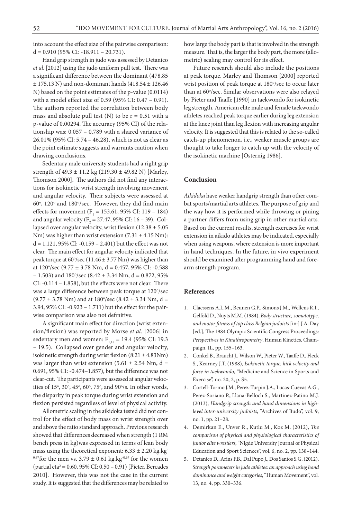into account the effect size of the pairwise comparison:  $d = 0.910$  (95% CI: -18.911 – 20.731).

Hand grip strength in judo was assessed by Detanico *et al*. [2012] using the judo uniform pull test. There was a significant difference between the dominant (478.85  $\pm$  175.13 N) and non-dominant hands (418.54  $\pm$  126.46 N) based on the point estimates of the p-value (0.0114) with a model effect size of 0.59 (95% CI: 0.47 – 0.91). The authors reported the correlation between body mass and absolute pull test (N) to be  $r = 0.51$  with a p-value of 0.00294. The accuracy (95% CI) of the relationship was: 0.057 – 0.789 with a shared variance of 26.01% (95% CI: 5.74 – 46.28), which is not as clear as the point estimate suggests and warrants caution when drawing conclusions.

Sedentary male university students had a right grip strength of 49.3 ± 11.2 kg (219.30 ± 49.82 N) [Marley, Thomson 2000]. The authors did not find any interactions for isokinetic wrist strength involving movement and angular velocity. Their subjects were assessed at 60°, 120° and 180°/sec. However, they did find main effects for movement  $(F_1 = 153.61, 95\% \text{ CI: } 119 - 184)$ and angular velocity ( $F_2 = 27.47$ , 95% CI: 16 – 39). Collapsed over angular velocity, wrist flexion  $(12.38 \pm 5.05)$ Nm) was higher than wrist extension  $(7.31 \pm 4.15 \text{ Nm})$ : d = 1.121, 95% CI: -0.159 – 2.401) but the effect was not clear. The main effect for angular velocity indicated that peak torque at  $60^{\circ}/sec$  (11.46  $\pm$  3.77 Nm) was higher than at 120°/sec (9.77 ± 3.78 Nm, d = 0.457, 95% CI: -0.588  $-1.503$ ) and  $180^{\circ}/sec$  (8.42  $\pm$  3.34 Nm, d = 0.872, 95%) CI: -0.114 – 1.858), but the effects were not clear. There was a large difference between peak torque at 120°/sec  $(9.77 \pm 3.78 \text{ Nm})$  and at 180 $\degree$ /sec (8.42  $\pm$  3.34 Nm, d = 3.94, 95% CI: -0.923 – 1.711) but the effect for the pairwise comparison was also not definitive.

A significant main effect for direction (wrist extension/flexion) was reported by Morse *et al.* [2006] in sedentary men and women:  $F_{1,18} = 19.4$  (95% CI: 19.3) – 19.5). Collapsed over gender and angular velocity, isokinetic strength during wrist flexion (8:21 ± 4.83Nm) was larger than wrist extension  $(5.61 \pm 2.54 \text{ Nm}, d =$ 0.691, 95% CI: -0.474–1.857), but the difference was not clear-cut. The participants were assessed at angular velocities of  $15^\circ$ ,  $30^\circ$ ,  $45^\circ$ ,  $60^\circ$ ,  $75^\circ$ , and  $90^\circ$ /s. In other words, the disparity in peak torque during wrist extension and flexion persisted regardless of level of physical activity.

Allometric scaling in the aikidoka tested did not control for the effect of body mass on wrist strength over and above the ratio standard approach. Previous research showed that differences decreased when strength (1 RM bench press in kg)was expressed in terms of lean body mass using the theoretical exponent:  $6.33 \pm 2.20$  kg.kg <sup>0.67</sup>for the men vs. 3.79  $\pm$  0.61 kg.kg<sup>-0.67</sup> for the women (partial eta<sup>2</sup> = 0.60, 95% CI: 0.50 – 0.91) [Pieter, Bercades 2010]. However, this was not the case in the current study. It is suggested that the differences may be related to

how large the body part is that is involved in the strength measure. That is, the larger the body part, the more (allometric) scaling may control for its effect.

Future research should also include the positions at peak torque. Marley and Thomson [2000] reported wrist position of peak torque at 180°/sec to occur later than at 60°/sec. Similar observations were also relayed by Pieter and Taaffe [1990] in taekwondo for isokinetic leg strength. American elite male and female taekwondo athletes reached peak torque earlier during leg extension at the knee joint than leg flexion with increasing angular velocity. It is suggested that this is related to the so-called catch-up phenomenon, i.e., weaker muscle groups are thought to take longer to catch up with the velocity of the isokinetic machine [Osternig 1986].

#### **Conclusion**

*Aikidoka* have weaker handgrip strength than other combat sports/martial arts athletes. The purpose of grip and the way how it is performed while throwing or pining a partner differs from using grip in other martial arts. Based on the current results, strength exercises for wrist extension in aikido athletes may be indicated, especially when using weapons, where extension is more important in hand techniques. In the future, in vivo experiment should be examined after programming hand and forearm strength program.

#### **References**

- 1. Claessens A.L.M., Beunen G.P., Simons J.M., Wellens R.I., Gelfold D., Nuyts M.M. (1984), *Body structure, somatotype, and motor fitness of top class Belgian judoists* [in:] J.A. Day [ed.], The 1984 Olympic Scientific Congress Proceedings: *Perspectives in Kinathropometry*, Human Kinetics, Champaign, IL, pp. 155–163.
- 2. Conkel B., Braucht J., Wilson W., Pieter W., Taaffe D., Fleck S., Kearney J.T. (1988), *Isokinetic torque, kick velocity and force in taekwondo*, "Medicine and Science in Sports and Exercise", no. 20, 2, p. S5.
- 3. Cortell-Tormo J.M., Perez-Turpin J.A., Lucas-Cuevas A.G., Perez-Soriano P., Llana-Belloch S., Martinez-Patino M.J. (2013), *Handgrip strength and hand dimensions in highlevel inter-university judoists*, "Archives of Budo", vol. 9, no. 1, pp. 21–28.
- 4. Demirkan E., Unver R., Kutlu M., Koz M. (2012), *The comparison of physical and physiological characteristics of junior elite wrestlers*, "Nigde University Journal of Physical Education and Sport Sciences", vol. 6, no. 2, pp. 138–144.
- 5. Detanico D., Arins F.B., Dal Pupo J., Dos Santos S.G. (2012), *Strength parameters in judo athletes: an approach using hand dominance and weight categories*, "Human Movement", vol. 13, no. 4, pp. 330–336.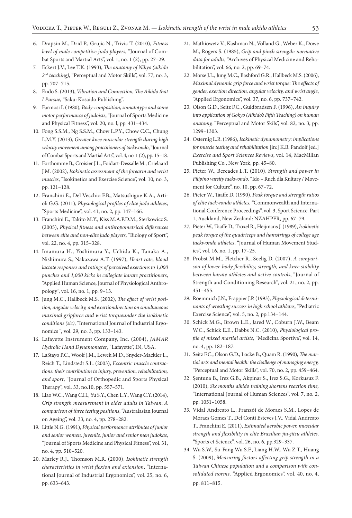- 6. Drapsin M., Drid P., Grujic N., Trivic T. (2010), *Fitness level of male competitive judo players*, "Journal of Combat Sports and Martial Arts", vol. 1, no. 1 (2), pp. 27–29.
- 7. Eckert J.V., Lee T.K. (1993), *The anatomy of Nikyo (aikido 2nd teaching)*, "Perceptual and Motor Skills", vol. 77, no. 3, pp. 707–715.
- 8. Endo S. (2013), *Vibration and Connection, The Aikido that I Pursue*, "Saku: Kosaido Publishing".
- 9. Farmosi I. (1980), *Body-composition, somatotype and some motor performance of judoists*, "Journal of Sports Medicine and Physical Fitness", vol. 20, no. l, pp. 431–434.
- 10. Fong S.S.M., Ng S.S.M., Chow L.P.Y., Chow C.C., Chung L.M.Y. (2013), *Greater knee muscular strength during high velocity movement among practitioners of taekwondo*, "Journal of Combat Sports and Martial Arts", vol. 4, no. 1 (2), pp. 15–18.
- 11. Forthomme B., Croisier J.L., Foidart-Dessalle M., Crielaard J.M. (2002), *Isokinetic assessment of the forearm and wrist muscles*, "Isokinetics and Exercise Science", vol. 10, no. 3, pp. 121–128.
- 12. Franchini E., Del Vecchio F.B., Matsushigue K.A., Artioli G.G. (2011), *Physiological profiles of elite judo athletes*, "Sports Medicine", vol. 41, no. 2, pp. 147–166.
- 13. Franchini E., Takito M.Y., Kiss M.A.P.D.M., Sterkowicz S. (2005), *Physical fitness and anthropometrical differences between elite and non-elite judo players*, "Biology of Sport", vol. 22, no. 4, pp. 315–328.
- 14. Imamura H., Yoshimura Y., Uchida K., Tanaka A., Nishimura S., Nakazawa A.T. (1997), *Heart rate, blood lactate responses and ratings of perceived exertions to 1,000 punches and 1,000 kicks in collegiate karate practitioners*, "Applied Human Science, Journal of Physiological Anthropology", vol. 16, no. 1, pp. 9–13.
- 15. Jung M.C., Hallbeck M.S. (2002), *The effect of wrist position, angular velocity, and exertiondirection on simultaneous maximal gripforce and wrist torqueunder the isokinetic conditions (sic)*, "International Journal of Industrial Ergonomics ", vol. 29, no. 3, pp. 133–143.
- 16. Lafayette Instrument Company, Inc. (2004), *JAMAR Hydrolic Hand Dynamometer*, "Lafayette", IN, USA.
- 17. LaStayo P.C., Woolf J.M., Lewek M.D., Snyder-Mackler L., Reich T., Lindstedt S.L. (2003), *Eccentric muscle contractions: their contribution to injury, prevention, rehabilitation, and sport*, "Journal of Orthopedic and Sports Physical Therapy", vol. 33, no.10, pp. 557–571.
- 18. Liao W.C., Wang C.H., Yu S.Y., Chen L.Y., Wang C.Y. (2014), *Grip strength measurement in older adults in Taiwan*: *A comparison of three testing positions*, "Australasian Journal on Ageing", vol. 33, no. 4, pp. 278–282.
- 19. Little N.G. (1991), *Physical performance attributes of junior and senior women, juvenile, junior and senior men judokas*, "Journal of Sports Medicine and Physical Fitness", vol. 31, no. 4, pp. 510–520.
- 20. Marley R.J., Thomson M.R. (2000), *Isokinetic strength characteristics in wrist flexion and extension*, "International Journal of Industrial Ergonomics", vol. 25, no. 6, pp. 633–643.
- 21. Mathiowetz V., Kashman N., Volland G., Weber K., Dowe M., Rogers S. (1985), *Grip and pinch strength: normative data for adults*, "Archives of Physical Medicine and Rehabilitation", vol. 66, no. 2, pp. 69–74.
- 22. Morse J.L., Jung M.C., Bashford G.R., Hallbeck M.S. (2006), *Maximal dynamic grip force and wrist torque: The effects of gender, exertion direction, angular velocity, and wrist angle*, "Applied Ergonomics", vol. 37, no. 6, pp. 737–742.
- 23. Olson G.D., Seitz F.C., Guldbradsen F. (1996), *An inquiry into application of Gokyo (Aikido's Fifth Teaching) on human anatomy,* "Perceptual and Motor Skils", vol. 82, no. 3, pp. 1299–1303.
- 24. Osternig L.R. (1986), *Isokinetic dynamometry: implications for muscle testing and rehabilitation* [in:] K.B. Pandolf [ed.] *Exercise and Sport Sciences Reviews*, vol. 14, MacMillan Publishing Co., New York, pp. 45–80.
- 25. Pieter W., Bercades L.T. (2010), *Strength and power in Filipino varsity taekwondo*, "Ido – Ruch dla Kultury / Movement for Culture", no. 10, pp. 67–72.
- 26. Pieter W., Taaffe D. (1990), *Peak torque and strength ratios of elite taekwondo athletes*, "Commonwealth and International Conference Proceedings", vol. 3, Sport Science. Part 1, Auckland, New Zealand: NZAHPER, pp. 67–79.
- 27. Pieter W., Taaffe D., Troxel R., Heijmans J. (1989), *Isokinetic peak torque of the quadriceps and hamstrings of college age taekwondo athletes*, "Journal of Human Movement Studies", vol. 16, no. 1, pp. 17–25.
- 28. Probst M.M., Fletcher R., Seelig D. (2007), *A comparison of lower-body flexibility, strength, and knee stability between karate athletes and active controls*, "Journal of Strength and Conditioning Research", vol. 21, no. 2, pp. 451–455.
- 29. Roemmich J.N., Frappier J.P. (1993), *Physiological determinants of wrestling success in high school athletes*, "Pediatric Exercise Science", vol. 5, no. 2, pp.134–144.
- 30. Schick M.G., Brown L.E., Jared W., Coburn J.W., Beam W.C., Schick E.E., Dabbs N.C. (2010), *Physiological profile of mixed martial artists*, "Medicina Sportiva", vol. 14, no. 4, pp. 182–187.
- 31. Seitz F.C., Olson G.D., Locke B., Quam R. (1990), *The martial arts and mental health: the challenge of managing energy,*  "Perceptual and Motor Skills", vol. 70, no. 2, pp. 459–464.
- 32. Şentuna B., Irez G.B., Akpinar S., Irez S.G., Korkusuz F. (2010), *Six months aikido training shortens reaction time,*  "International Journal of Human Sciences", vol. 7, no. 2, pp. 1051–1058.
- 33. Vidal Andreato L., Franzói de Moraes S.M., Lopes de Moraes Gomes T., Del Conti Esteves J.V., Vidal Andreato T., Franchini E. (2011), *Estimated aerobic power, muscular strength and flexibility in elite Brazilian jiu-jitsu athletes,* "Sports et Science", vol. 26, no. 6, pp.329–337.
- 34. Wu S.W., Su-Fang Wu S.F., Liang H.W., Wu Z.T., Huang S. (2009), *Measuring factors affecting grip strength in a Taiwan Chinese population and a comparison with consolidated norms,* "Applied Ergonomics", vol. 40, no. 4, pp. 811–815.